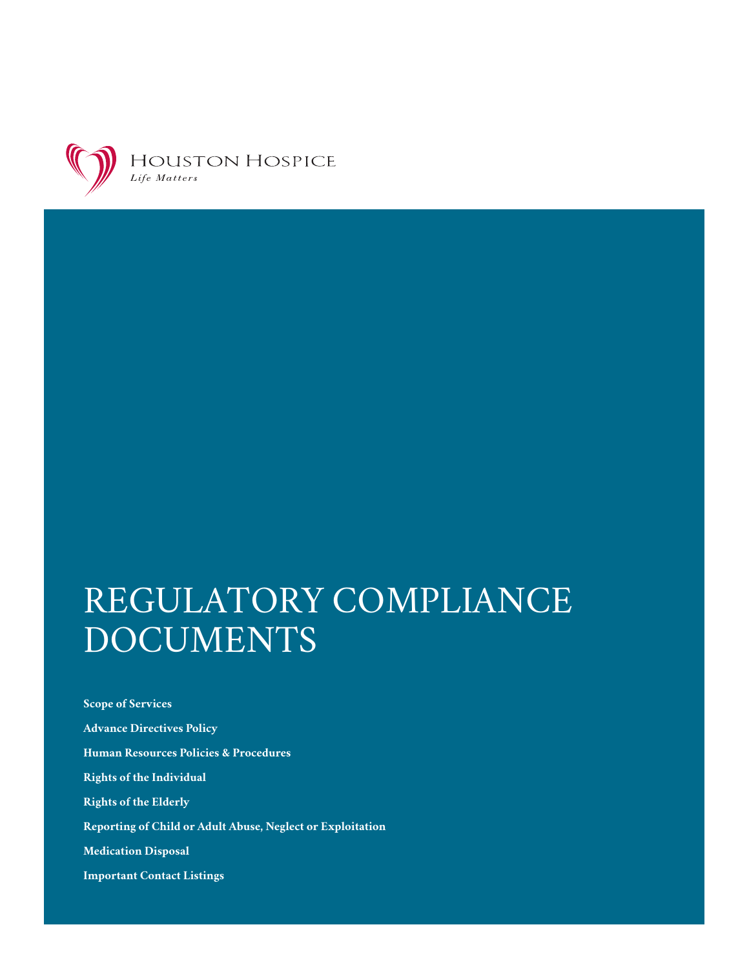

# REGULATORY COMPLIANCE DOCUMENTS

**Scope of Services Advance Directives Policy Human Resources Policies & Procedures Rights of the Individual Rights of the Elderly Reporting of Child or Adult Abuse, Neglect or Exploitation Medication Disposal Important Contact Listings**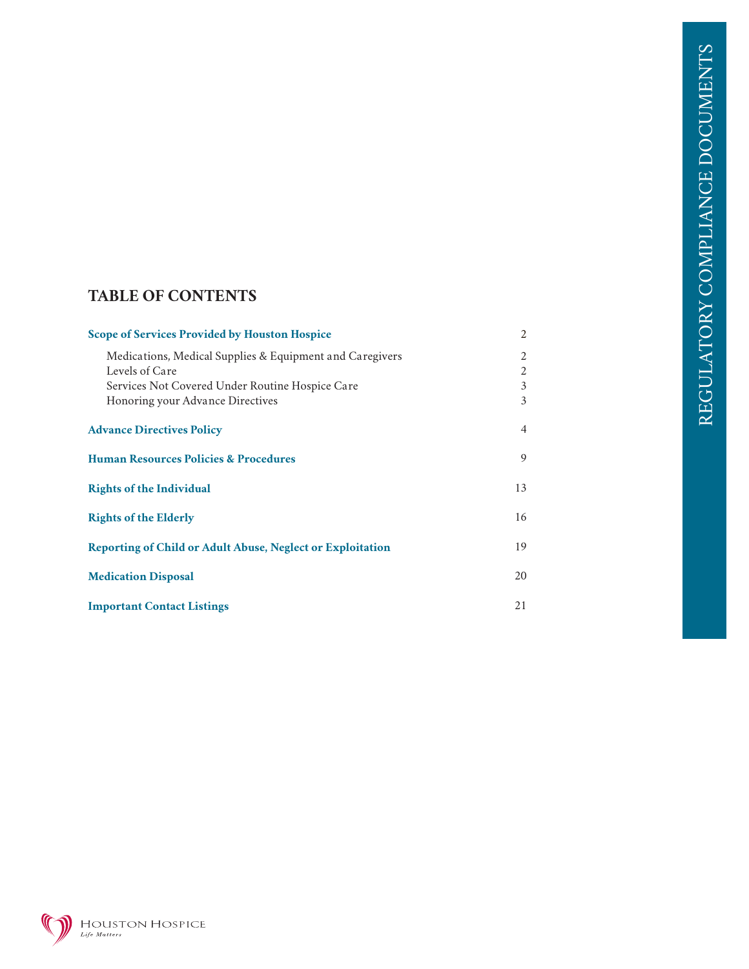# **TABLE OF CONTENTS**

| <b>Scope of Services Provided by Houston Hospice</b>              |                |  |
|-------------------------------------------------------------------|----------------|--|
| Medications, Medical Supplies & Equipment and Caregivers          | 2              |  |
| Levels of Care                                                    | 2              |  |
| Services Not Covered Under Routine Hospice Care                   | 3              |  |
| Honoring your Advance Directives                                  | 3              |  |
| <b>Advance Directives Policy</b>                                  | $\overline{4}$ |  |
| <b>Human Resources Policies &amp; Procedures</b>                  | 9              |  |
| <b>Rights of the Individual</b>                                   | 13             |  |
| <b>Rights of the Elderly</b>                                      | 16             |  |
| <b>Reporting of Child or Adult Abuse, Neglect or Exploitation</b> | 19             |  |
| <b>Medication Disposal</b>                                        | 20             |  |
| <b>Important Contact Listings</b>                                 | 21             |  |

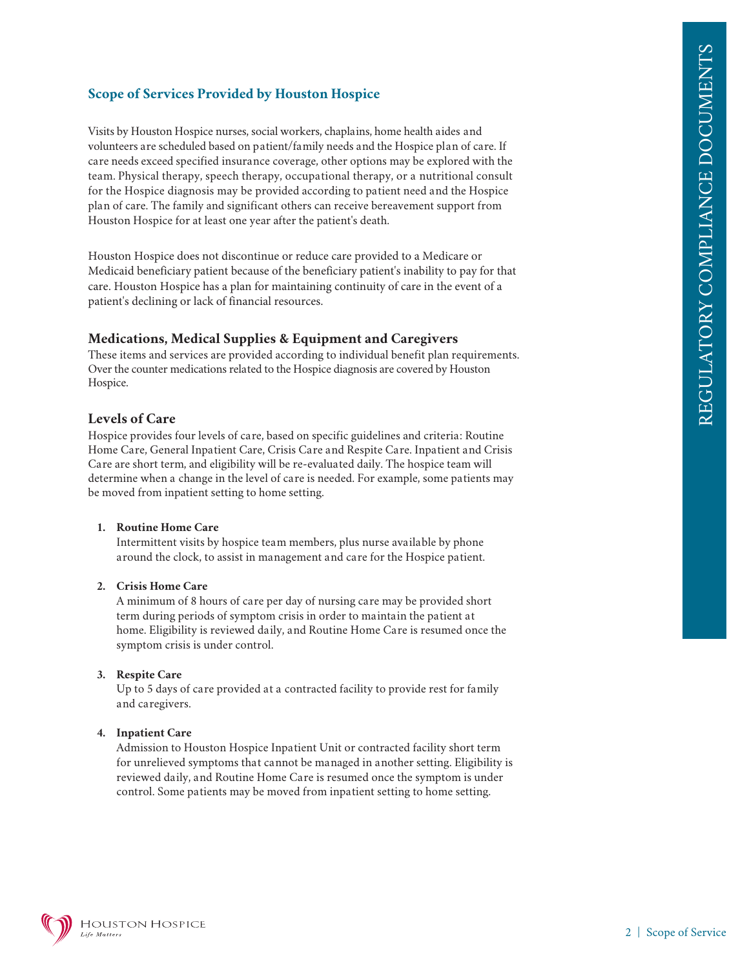#### **Scope of Services Provided by Houston Hospice**

Visits by Houston Hospice nurses, social workers, chaplains, home health aides and volunteers are scheduled based on patient/family needs and the Hospice plan of care. If care needs exceed specified insurance coverage, other options may be explored with the team. Physical therapy, speech therapy, occupational therapy, or a nutritional consult for the Hospice diagnosis may be provided according to patient need and the Hospice plan of care. The family and significant others can receive bereavement support from Houston Hospice for at least one year after the patient's death.

Houston Hospice does not discontinue or reduce care provided to a Medicare or Medicaid beneficiary patient because of the beneficiary patient's inability to pay for that care. Houston Hospice has a plan for maintaining continuity of care in the event of a patient's declining or lack of financial resources.

#### **Medications, Medical Supplies & Equipment and Caregivers**

These items and services are provided according to individual benefit plan requirements. Over the counter medications related to the Hospice diagnosis are covered by Houston Hospice.

#### **Levels of Care**

Hospice provides four levels of care, based on specific guidelines and criteria: Routine Home Care, General Inpatient Care, Crisis Care and Respite Care. Inpatient and Crisis Care are short term, and eligibility will be re-evaluated daily. The hospice team will determine when a change in the level of care is needed. For example, some patients may be moved from inpatient setting to home setting.

#### **1. Routine Home Care**

Intermittent visits by hospice team members, plus nurse available by phone around the clock, to assist in management and care for the Hospice patient.

#### **2. Crisis Home Care**

A minimum of 8 hours of care per day of nursing care may be provided short term during periods of symptom crisis in order to maintain the patient at home. Eligibility is reviewed daily, and Routine Home Care is resumed once the symptom crisis is under control.

#### **3. Respite Care**

Up to 5 days of care provided at a contracted facility to provide rest for family and caregivers.

#### **4. Inpatient Care**

Admission to Houston Hospice Inpatient Unit or contracted facility short term for unrelieved symptoms that cannot be managed in another setting. Eligibility is reviewed daily, and Routine Home Care is resumed once the symptom is under control. Some patients may be moved from inpatient setting to home setting.

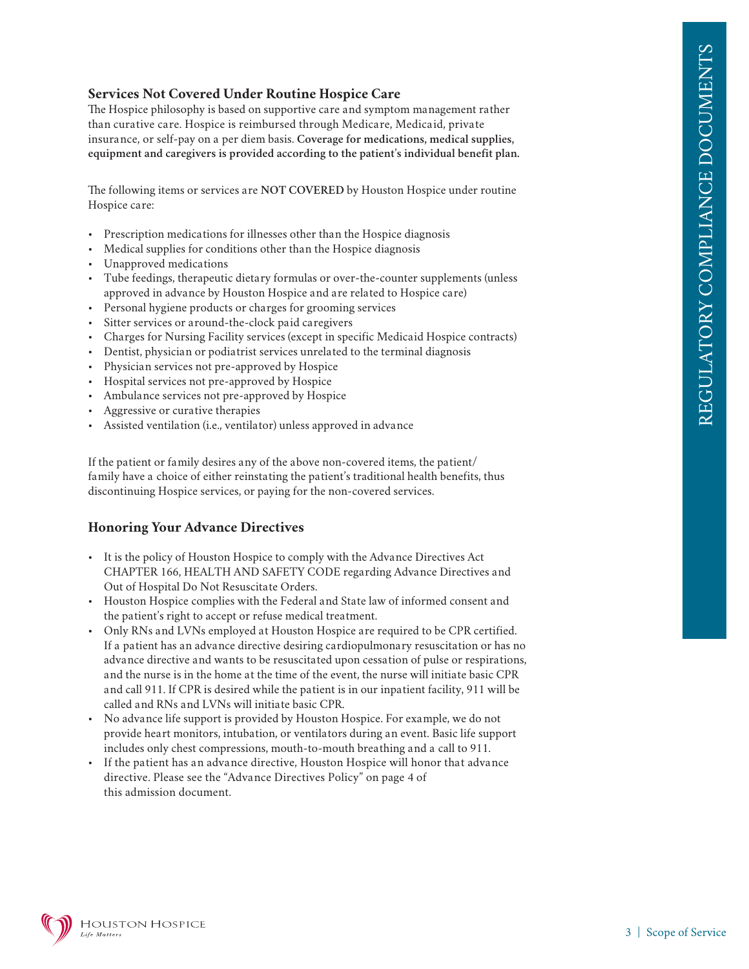#### **Services Not Covered Under Routine Hospice Care**

The Hospice philosophy is based on supportive care and symptom management rather than curative care. Hospice is reimbursed through Medicare, Medicaid, private insurance, or self-pay on a per diem basis. **Coverage for medications, medical supplies, equipment and caregivers is provided according to the patient's individual benefit plan.** 

The following items or services are **NOT COVERED** by Houston Hospice under routine Hospice care:

- Prescription medications for illnesses other than the Hospice diagnosis
- Medical supplies for conditions other than the Hospice diagnosis
- Unapproved medications
- Tube feedings, therapeutic dietary formulas or over-the-counter supplements (unless approved in advance by Houston Hospice and are related to Hospice care)
- Personal hygiene products or charges for grooming services
- Sitter services or around-the-clock paid caregivers
- Charges for Nursing Facility services (except in specific Medicaid Hospice contracts)
- Dentist, physician or podiatrist services unrelated to the terminal diagnosis
- Physician services not pre-approved by Hospice
- Hospital services not pre-approved by Hospice
- Ambulance services not pre-approved by Hospice
- Aggressive or curative therapies
- Assisted ventilation (i.e., ventilator) unless approved in advance

If the patient or family desires any of the above non-covered items, the patient/ family have a choice of either reinstating the patient's traditional health benefits, thus discontinuing Hospice services, or paying for the non-covered services.

#### **Honoring Your Advance Directives**

- It is the policy of Houston Hospice to comply with the Advance Directives Act CHAPTER 166, HEALTH AND SAFETY CODE regarding Advance Directives and Out of Hospital Do Not Resuscitate Orders.
- Houston Hospice complies with the Federal and State law of informed consent and the patient's right to accept or refuse medical treatment.
- Only RNs and LVNs employed at Houston Hospice are required to be CPR certified. If a patient has an advance directive desiring cardiopulmonary resuscitation or has no advance directive and wants to be resuscitated upon cessation of pulse or respirations, and the nurse is in the home at the time of the event, the nurse will initiate basic CPR and call 911. If CPR is desired while the patient is in our inpatient facility, 911 will be called and RNs and LVNs will initiate basic CPR.
- No advance life support is provided by Houston Hospice. For example, we do not provide heart monitors, intubation, or ventilators during an event. Basic life support includes only chest compressions, mouth-to-mouth breathing and a call to 911.
- If the patient has an advance directive, Houston Hospice will honor that advance directive. Please see the "Advance Directives Policy" on page 4 of this admission document.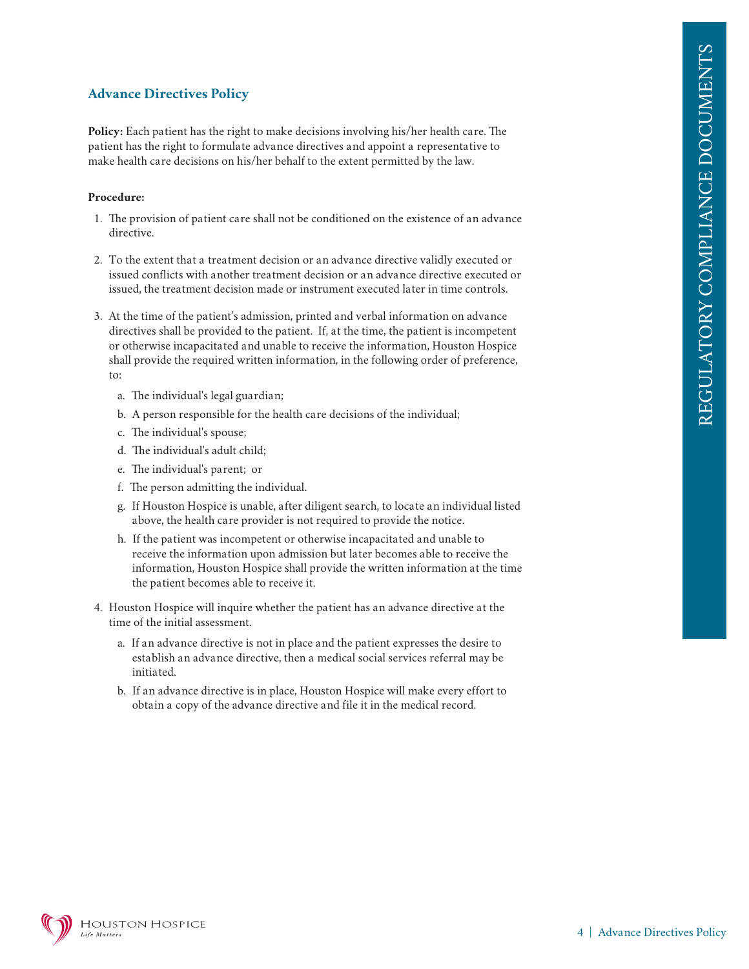### **Advance Directives Policy**

**Policy:** Each patient has the right to make decisions involving his/her health care. The patient has the right to formulate advance directives and appoint a representative to make health care decisions on his/her behalf to the extent permitted by the law.

#### **Procedure:**

- 1. The provision of patient care shall not be conditioned on the existence of an advance directive.
- 2. To the extent that a treatment decision or an advance directive validly executed or issued conflicts with another treatment decision or an advance directive executed or issued, the treatment decision made or instrument executed later in time controls.
- 3. At the time of the patient's admission, printed and verbal information on advance directives shall be provided to the patient. If, at the time, the patient is incompetent or otherwise incapacitated and unable to receive the information, Houston Hospice shall provide the required written information, in the following order of preference, to:
	- a. The individual's legal guardian;
	- b. A person responsible for the health care decisions of the individual;
	- c. The individual's spouse;
	- d. The individual's adult child;
	- e. The individual's parent; or
	- f. The person admitting the individual.
	- g. If Houston Hospice is unable, after diligent search, to locate an individual listed above, the health care provider is not required to provide the notice.
	- h. If the patient was incompetent or otherwise incapacitated and unable to receive the information upon admission but later becomes able to receive the information, Houston Hospice shall provide the written information at the time the patient becomes able to receive it.
- 4. Houston Hospice will inquire whether the patient has an advance directive at the time of the initial assessment.
	- a. If an advance directive is not in place and the patient expresses the desire to establish an advance directive, then a medical social services referral may be initiated.
	- b. If an advance directive is in place, Houston Hospice will make every effort to obtain a copy of the advance directive and file it in the medical record.

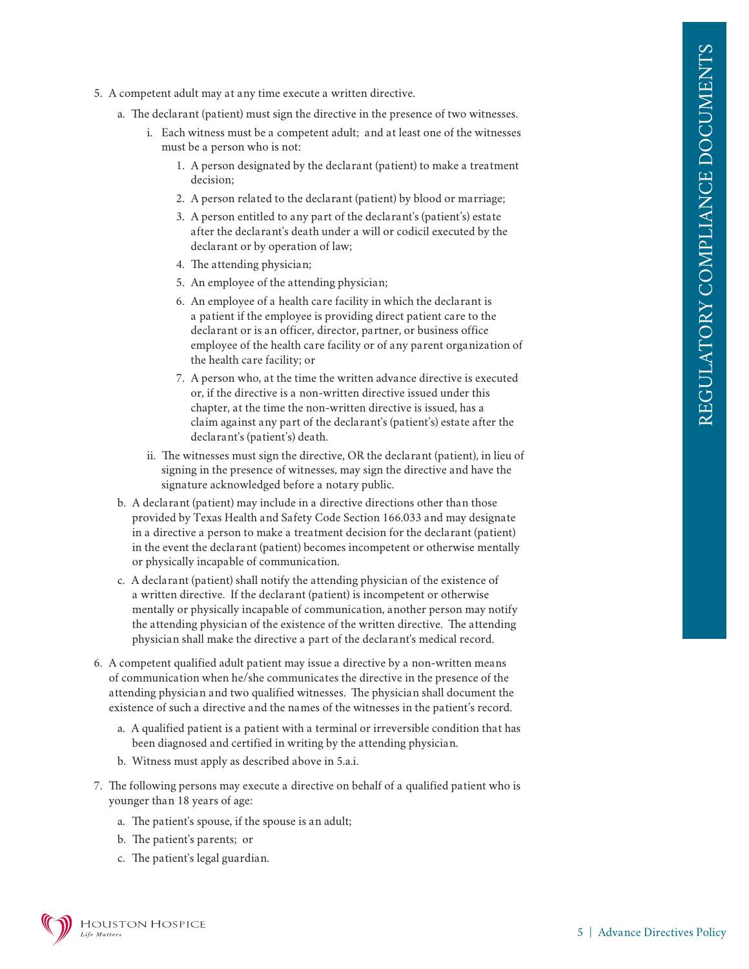- 5. A competent adult may at any time execute a written directive.
	- a. The declarant (patient) must sign the directive in the presence of two witnesses.
		- i. Each witness must be a competent adult; and at least one of the witnesses must be a person who is not:
			- 1. A person designated by the declarant (patient) to make a treatment decision;
			- 2. A person related to the declarant (patient) by blood or marriage;
			- 3. A person entitled to any part of the declarant's (patient's) estate after the declarant's death under a will or codicil executed by the declarant or by operation of law;
			- 4. The attending physician;
			- 5. An employee of the attending physician;
			- 6. An employee of a health care facility in which the declarant is a patient if the employee is providing direct patient care to the declarant or is an officer, director, partner, or business office employee of the health care facility or of any parent organization of the health care facility; or
			- 7. A person who, at the time the written advance directive is executed or, if the directive is a non-written directive issued under this chapter, at the time the non-written directive is issued, has a claim against any part of the declarant's (patient's) estate after the declarant's (patient's) death.
		- ii. The witnesses must sign the directive, OR the declarant (patient), in lieu of signing in the presence of witnesses, may sign the directive and have the signature acknowledged before a notary public.
	- b. A declarant (patient) may include in a directive directions other than those provided by Texas Health and Safety Code Section 166.033 and may designate in a directive a person to make a treatment decision for the declarant (patient) in the event the declarant (patient) becomes incompetent or otherwise mentally or physically incapable of communication.
	- c. A declarant (patient) shall notify the attending physician of the existence of a written directive. If the declarant (patient) is incompetent or otherwise mentally or physically incapable of communication, another person may notify the attending physician of the existence of the written directive. The attending physician shall make the directive a part of the declarant's medical record.
- 6. A competent qualified adult patient may issue a directive by a non-written means of communication when he/she communicates the directive in the presence of the attending physician and two qualified witnesses. The physician shall document the existence of such a directive and the names of the witnesses in the patient's record.
	- a. A qualified patient is a patient with a terminal or irreversible condition that has been diagnosed and certified in writing by the attending physician.
	- b. Witness must apply as described above in 5.a.i.
- 7. The following persons may execute a directive on behalf of a qualified patient who is younger than 18 years of age:
	- a. The patient's spouse, if the spouse is an adult;
	- b. The patient's parents; or
	- c. The patient's legal guardian.

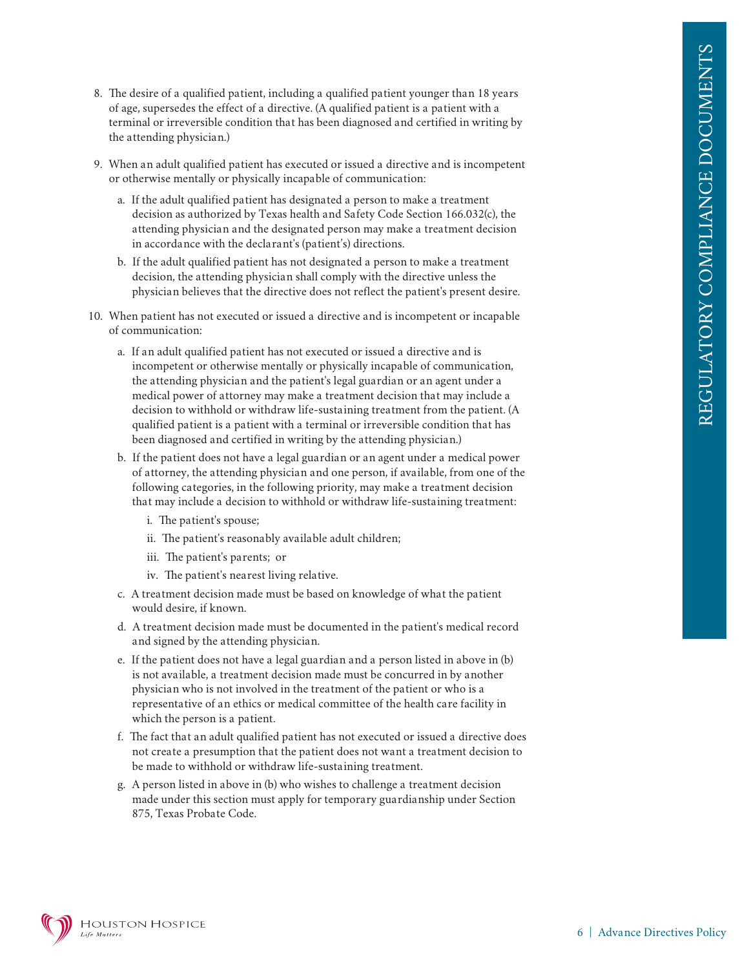- 8. The desire of a qualified patient, including a qualified patient younger than 18 years of age, supersedes the effect of a directive. (A qualified patient is a patient with a terminal or irreversible condition that has been diagnosed and certified in writing by the attending physician.)
- 9. When an adult qualified patient has executed or issued a directive and is incompetent or otherwise mentally or physically incapable of communication:
	- a. If the adult qualified patient has designated a person to make a treatment decision as authorized by Texas health and Safety Code Section 166.032(c), the attending physician and the designated person may make a treatment decision in accordance with the declarant's (patient's) directions.
	- b. If the adult qualified patient has not designated a person to make a treatment decision, the attending physician shall comply with the directive unless the physician believes that the directive does not reflect the patient's present desire.
- 10. When patient has not executed or issued a directive and is incompetent or incapable of communication:
	- a. If an adult qualified patient has not executed or issued a directive and is incompetent or otherwise mentally or physically incapable of communication, the attending physician and the patient's legal guardian or an agent under a medical power of attorney may make a treatment decision that may include a decision to withhold or withdraw life-sustaining treatment from the patient. (A qualified patient is a patient with a terminal or irreversible condition that has been diagnosed and certified in writing by the attending physician.)
	- b. If the patient does not have a legal guardian or an agent under a medical power of attorney, the attending physician and one person, if available, from one of the following categories, in the following priority, may make a treatment decision that may include a decision to withhold or withdraw life-sustaining treatment:
		- i. The patient's spouse;
		- ii. The patient's reasonably available adult children;
		- iii. The patient's parents; or
		- iv. The patient's nearest living relative.
	- c. A treatment decision made must be based on knowledge of what the patient would desire, if known.
	- d. A treatment decision made must be documented in the patient's medical record and signed by the attending physician.
	- e. If the patient does not have a legal guardian and a person listed in above in (b) is not available, a treatment decision made must be concurred in by another physician who is not involved in the treatment of the patient or who is a representative of an ethics or medical committee of the health care facility in which the person is a patient.
	- f. The fact that an adult qualified patient has not executed or issued a directive does not create a presumption that the patient does not want a treatment decision to be made to withhold or withdraw life-sustaining treatment.
	- g. A person listed in above in (b) who wishes to challenge a treatment decision made under this section must apply for temporary guardianship under Section 875, Texas Probate Code.

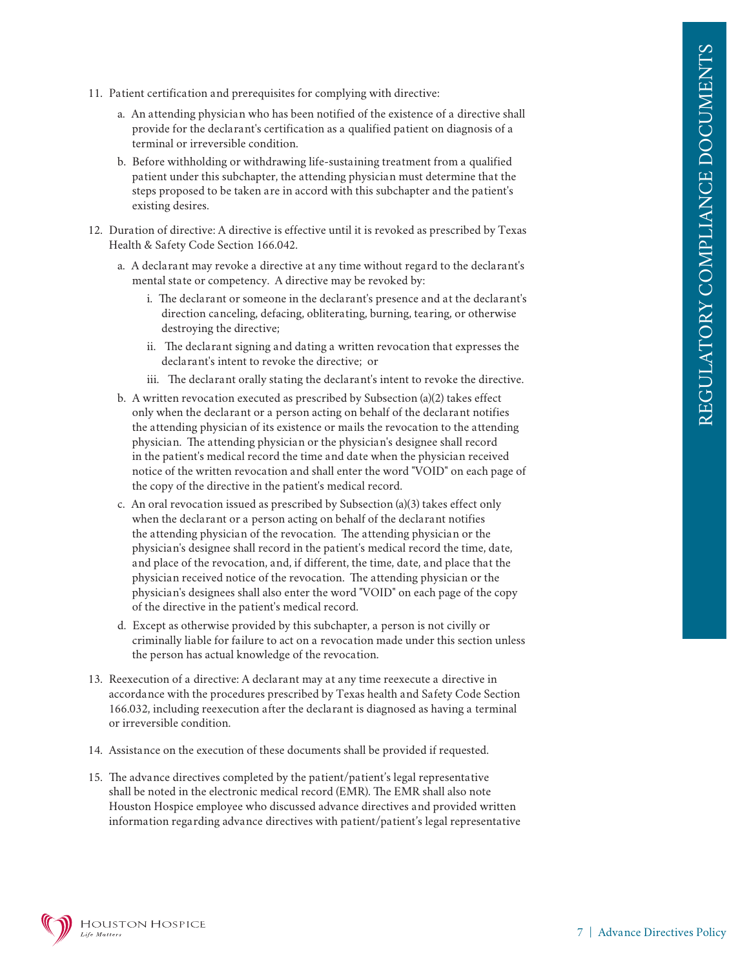- 11. Patient certification and prerequisites for complying with directive:
	- a. An attending physician who has been notified of the existence of a directive shall provide for the declarant's certification as a qualified patient on diagnosis of a terminal or irreversible condition.
	- b. Before withholding or withdrawing life-sustaining treatment from a qualified patient under this subchapter, the attending physician must determine that the steps proposed to be taken are in accord with this subchapter and the patient's existing desires.
- 12. Duration of directive: A directive is effective until it is revoked as prescribed by Texas Health & Safety Code Section 166.042.
	- a. A declarant may revoke a directive at any time without regard to the declarant's mental state or competency. A directive may be revoked by:
		- i. The declarant or someone in the declarant's presence and at the declarant's direction canceling, defacing, obliterating, burning, tearing, or otherwise destroying the directive;
		- ii. The declarant signing and dating a written revocation that expresses the declarant's intent to revoke the directive; or
		- iii. The declarant orally stating the declarant's intent to revoke the directive.
	- b. A written revocation executed as prescribed by Subsection (a)(2) takes effect only when the declarant or a person acting on behalf of the declarant notifies the attending physician of its existence or mails the revocation to the attending physician. The attending physician or the physician's designee shall record in the patient's medical record the time and date when the physician received notice of the written revocation and shall enter the word "VOID" on each page of the copy of the directive in the patient's medical record.
	- c. An oral revocation issued as prescribed by Subsection (a)(3) takes effect only when the declarant or a person acting on behalf of the declarant notifies the attending physician of the revocation. The attending physician or the physician's designee shall record in the patient's medical record the time, date, and place of the revocation, and, if different, the time, date, and place that the physician received notice of the revocation. The attending physician or the physician's designees shall also enter the word "VOID" on each page of the copy of the directive in the patient's medical record.
	- d. Except as otherwise provided by this subchapter, a person is not civilly or criminally liable for failure to act on a revocation made under this section unless the person has actual knowledge of the revocation.
- 13. Reexecution of a directive: A declarant may at any time reexecute a directive in accordance with the procedures prescribed by Texas health and Safety Code Section 166.032, including reexecution after the declarant is diagnosed as having a terminal or irreversible condition.
- 14. Assistance on the execution of these documents shall be provided if requested.
- 15. The advance directives completed by the patient/patient's legal representative shall be noted in the electronic medical record (EMR). The EMR shall also note Houston Hospice employee who discussed advance directives and provided written information regarding advance directives with patient/patient's legal representative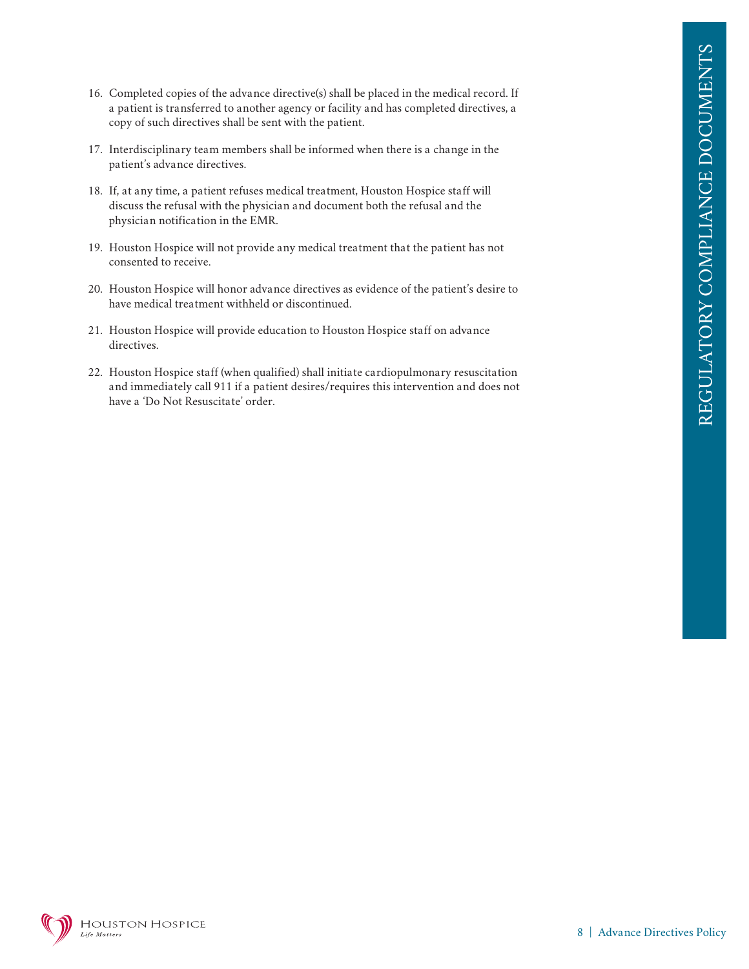- 16. Completed copies of the advance directive(s) shall be placed in the medical record. If a patient is transferred to another agency or facility and has completed directives, a copy of such directives shall be sent with the patient.
- 17. Interdisciplinary team members shall be informed when there is a change in the patient's advance directives.
- 18. If, at any time, a patient refuses medical treatment, Houston Hospice staff will discuss the refusal with the physician and document both the refusal and the physician notification in the EMR.
- 19. Houston Hospice will not provide any medical treatment that the patient has not consented to receive.
- 20. Houston Hospice will honor advance directives as evidence of the patient's desire to have medical treatment withheld or discontinued.
- 21. Houston Hospice will provide education to Houston Hospice staff on advance directives.
- 22. Houston Hospice staff (when qualified) shall initiate cardiopulmonary resuscitation and immediately call 911 if a patient desires/requires this intervention and does not have a 'Do Not Resuscitate' order.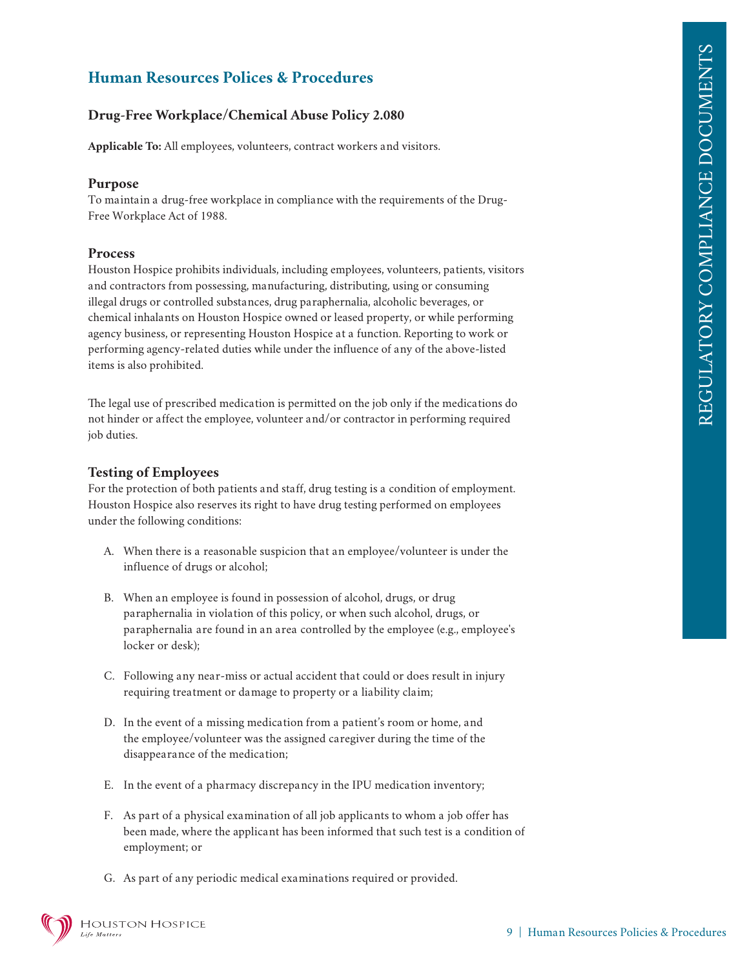## **Human Resources Polices & Procedures**

#### **Drug-Free Workplace/Chemical Abuse Policy 2.080**

**Applicable To:** All employees, volunteers, contract workers and visitors.

#### **Purpose**

To maintain a drug-free workplace in compliance with the requirements of the Drug-Free Workplace Act of 1988.

#### **Process**

Houston Hospice prohibits individuals, including employees, volunteers, patients, visitors and contractors from possessing, manufacturing, distributing, using or consuming illegal drugs or controlled substances, drug paraphernalia, alcoholic beverages, or chemical inhalants on Houston Hospice owned or leased property, or while performing agency business, or representing Houston Hospice at a function. Reporting to work or performing agency-related duties while under the influence of any of the above-listed items is also prohibited.

The legal use of prescribed medication is permitted on the job only if the medications do not hinder or affect the employee, volunteer and/or contractor in performing required job duties.

#### **Testing of Employees**

For the protection of both patients and staff, drug testing is a condition of employment. Houston Hospice also reserves its right to have drug testing performed on employees under the following conditions:

- A. When there is a reasonable suspicion that an employee/volunteer is under the influence of drugs or alcohol;
- B. When an employee is found in possession of alcohol, drugs, or drug paraphernalia in violation of this policy, or when such alcohol, drugs, or paraphernalia are found in an area controlled by the employee (e.g., employee's locker or desk);
- C. Following any near-miss or actual accident that could or does result in injury requiring treatment or damage to property or a liability claim;
- D. In the event of a missing medication from a patient's room or home, and the employee/volunteer was the assigned caregiver during the time of the disappearance of the medication;
- E. In the event of a pharmacy discrepancy in the IPU medication inventory;
- F. As part of a physical examination of all job applicants to whom a job offer has been made, where the applicant has been informed that such test is a condition of employment; or
- G. As part of any periodic medical examinations required or provided.

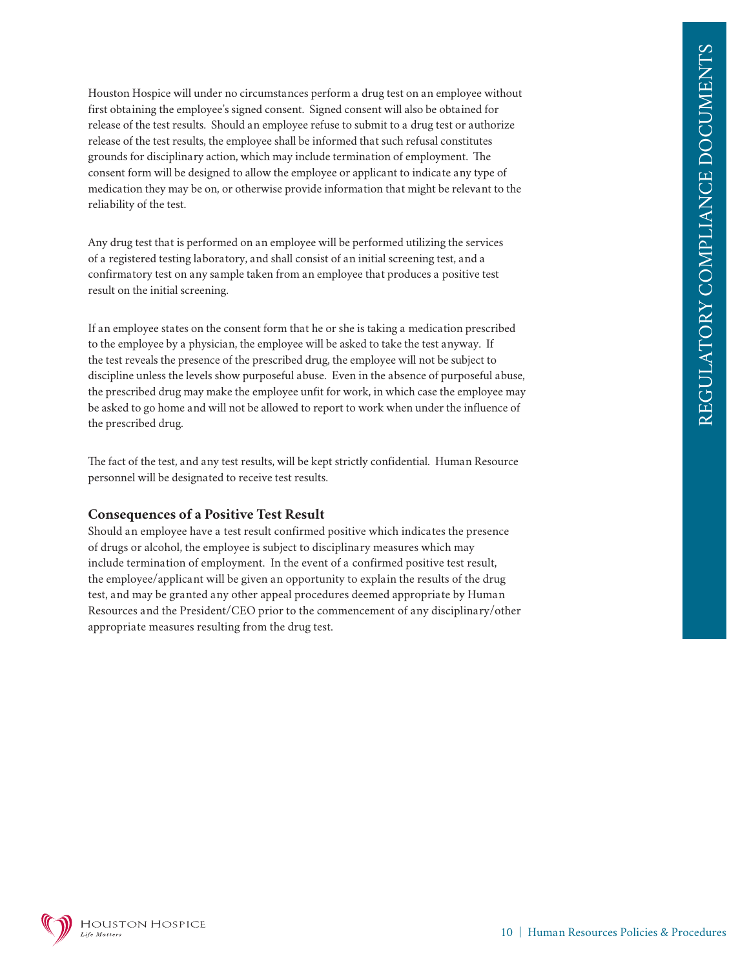Houston Hospice will under no circumstances perform a drug test on an employee without first obtaining the employee's signed consent. Signed consent will also be obtained for release of the test results. Should an employee refuse to submit to a drug test or authorize release of the test results, the employee shall be informed that such refusal constitutes grounds for disciplinary action, which may include termination of employment. The consent form will be designed to allow the employee or applicant to indicate any type of medication they may be on, or otherwise provide information that might be relevant to the reliability of the test.

Any drug test that is performed on an employee will be performed utilizing the services of a registered testing laboratory, and shall consist of an initial screening test, and a confirmatory test on any sample taken from an employee that produces a positive test result on the initial screening.

If an employee states on the consent form that he or she is taking a medication prescribed to the employee by a physician, the employee will be asked to take the test anyway. If the test reveals the presence of the prescribed drug, the employee will not be subject to discipline unless the levels show purposeful abuse. Even in the absence of purposeful abuse, the prescribed drug may make the employee unfit for work, in which case the employee may be asked to go home and will not be allowed to report to work when under the influence of the prescribed drug.

The fact of the test, and any test results, will be kept strictly confidential. Human Resource personnel will be designated to receive test results.

#### **Consequences of a Positive Test Result**

Should an employee have a test result confirmed positive which indicates the presence of drugs or alcohol, the employee is subject to disciplinary measures which may include termination of employment. In the event of a confirmed positive test result, the employee/applicant will be given an opportunity to explain the results of the drug test, and may be granted any other appeal procedures deemed appropriate by Human Resources and the President/CEO prior to the commencement of any disciplinary/other appropriate measures resulting from the drug test.

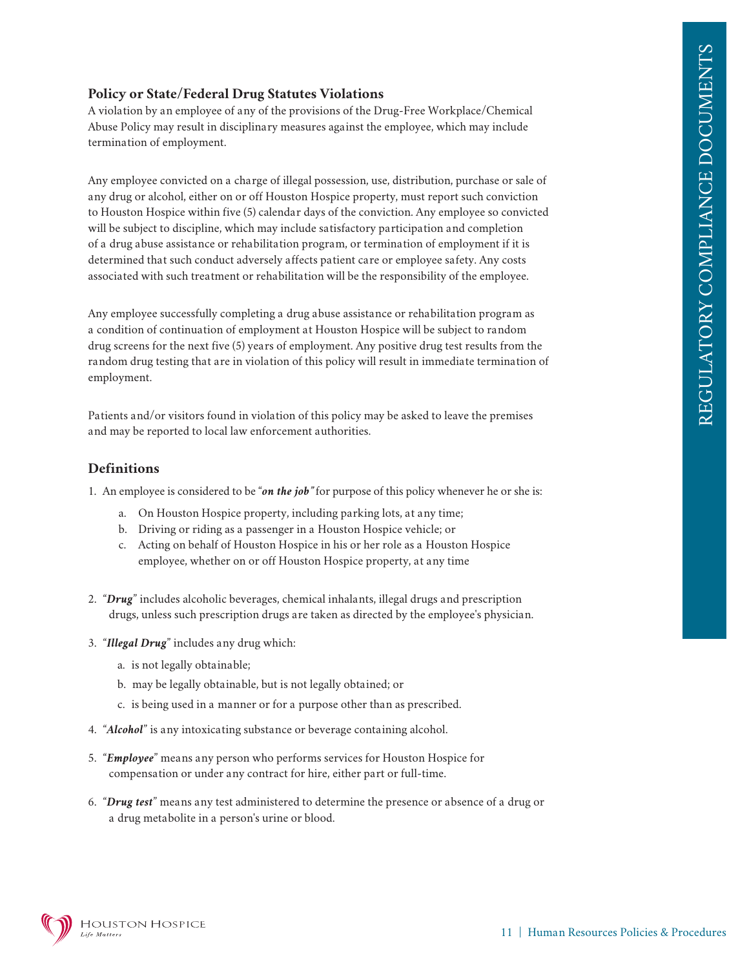#### **Policy or State/Federal Drug Statutes Violations**

A violation by an employee of any of the provisions of the Drug-Free Workplace/Chemical Abuse Policy may result in disciplinary measures against the employee, which may include termination of employment.

Any employee convicted on a charge of illegal possession, use, distribution, purchase or sale of any drug or alcohol, either on or off Houston Hospice property, must report such conviction to Houston Hospice within five (5) calendar days of the conviction. Any employee so convicted will be subject to discipline, which may include satisfactory participation and completion of a drug abuse assistance or rehabilitation program, or termination of employment if it is determined that such conduct adversely affects patient care or employee safety. Any costs associated with such treatment or rehabilitation will be the responsibility of the employee.

Any employee successfully completing a drug abuse assistance or rehabilitation program as a condition of continuation of employment at Houston Hospice will be subject to random drug screens for the next five (5) years of employment. Any positive drug test results from the random drug testing that are in violation of this policy will result in immediate termination of employment.

Patients and/or visitors found in violation of this policy may be asked to leave the premises and may be reported to local law enforcement authorities.

#### **Definitions**

- 1. An employee is considered to be "*on the job"* for purpose of this policy whenever he or she is:
	- a. On Houston Hospice property, including parking lots, at any time;
	- b. Driving or riding as a passenger in a Houston Hospice vehicle; or
	- c. Acting on behalf of Houston Hospice in his or her role as a Houston Hospice employee, whether on or off Houston Hospice property, at any time
- 2. "*Drug*" includes alcoholic beverages, chemical inhalants, illegal drugs and prescription drugs, unless such prescription drugs are taken as directed by the employee's physician.
- 3. "*Illegal Drug*" includes any drug which:
	- a. is not legally obtainable;
	- b. may be legally obtainable, but is not legally obtained; or
	- c. is being used in a manner or for a purpose other than as prescribed.
- 4. "*Alcohol*" is any intoxicating substance or beverage containing alcohol.
- 5. "*Employee*" means any person who performs services for Houston Hospice for compensation or under any contract for hire, either part or full-time.
- 6. "*Drug test*" means any test administered to determine the presence or absence of a drug or a drug metabolite in a person's urine or blood.

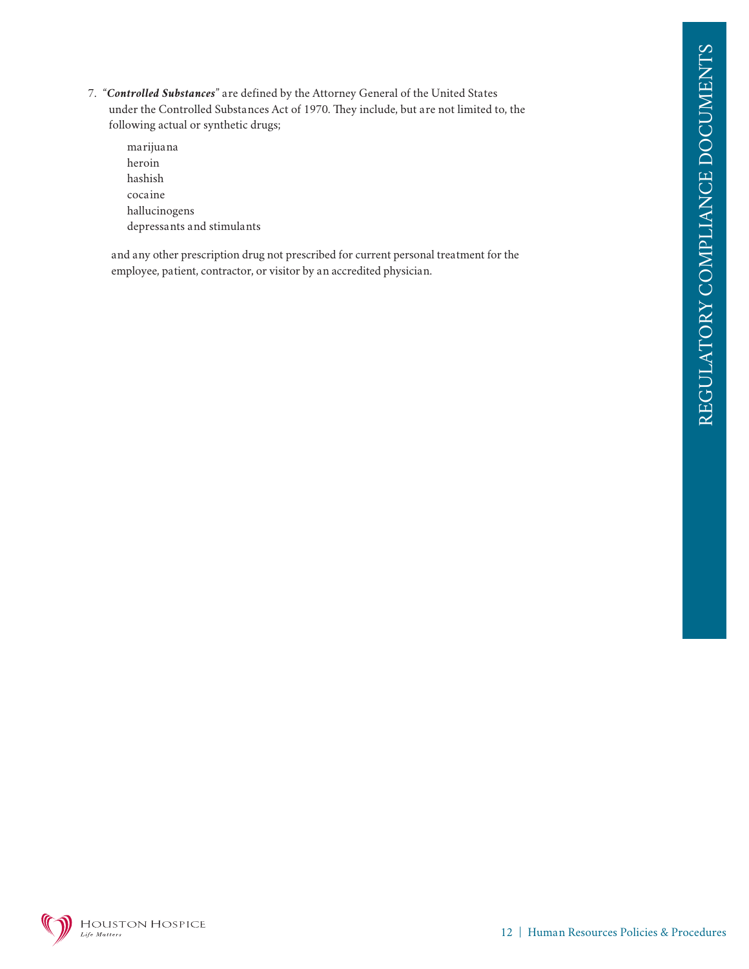- 7. "*Controlled Substances*" are defined by the Attorney General of the United States under the Controlled Substances Act of 1970. They include, but are not limited to, the following actual or synthetic drugs;
	- marijuana heroin hashish cocaine hallucinogens depressants and stimulants

and any other prescription drug not prescribed for current personal treatment for the employee, patient, contractor, or visitor by an accredited physician.

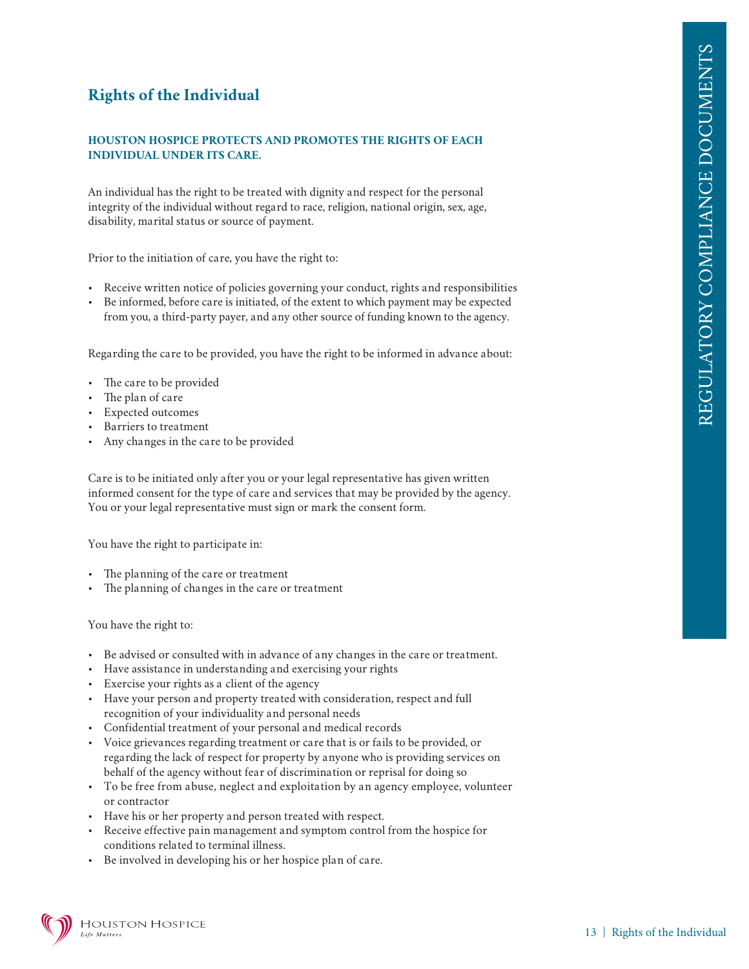## **Rights of the Individual**

#### **HOUSTON HOSPICE PROTECTS AND PROMOTES THE RIGHTS OF EACH INDIVIDUAL UNDER ITS CARE.**

An individual has the right to be treated with dignity and respect for the personal integrity of the individual without regard to race, religion, national origin, sex, age, disability, marital status or source of payment.

Prior to the initiation of care, you have the right to:

- Receive written notice of policies governing your conduct, rights and responsibilities
- Be informed, before care is initiated, of the extent to which payment may be expected from you, a third-party payer, and any other source of funding known to the agency.

Regarding the care to be provided, you have the right to be informed in advance about:

- The care to be provided
- The plan of care
- Expected outcomes
- Barriers to treatment
- Any changes in the care to be provided

Care is to be initiated only after you or your legal representative has given written informed consent for the type of care and services that may be provided by the agency. You or your legal representative must sign or mark the consent form.

You have the right to participate in:

- The planning of the care or treatment
- The planning of changes in the care or treatment

You have the right to:

- Be advised or consulted with in advance of any changes in the care or treatment.
- Have assistance in understanding and exercising your rights
- Exercise your rights as a client of the agency
- Have your person and property treated with consideration, respect and full recognition of your individuality and personal needs
- Confidential treatment of your personal and medical records
- Voice grievances regarding treatment or care that is or fails to be provided, or regarding the lack of respect for property by anyone who is providing services on behalf of the agency without fear of discrimination or reprisal for doing so
- To be free from abuse, neglect and exploitation by an agency employee, volunteer or contractor
- Have his or her property and person treated with respect.
- Receive effective pain management and symptom control from the hospice for conditions related to terminal illness.
- Be involved in developing his or her hospice plan of care.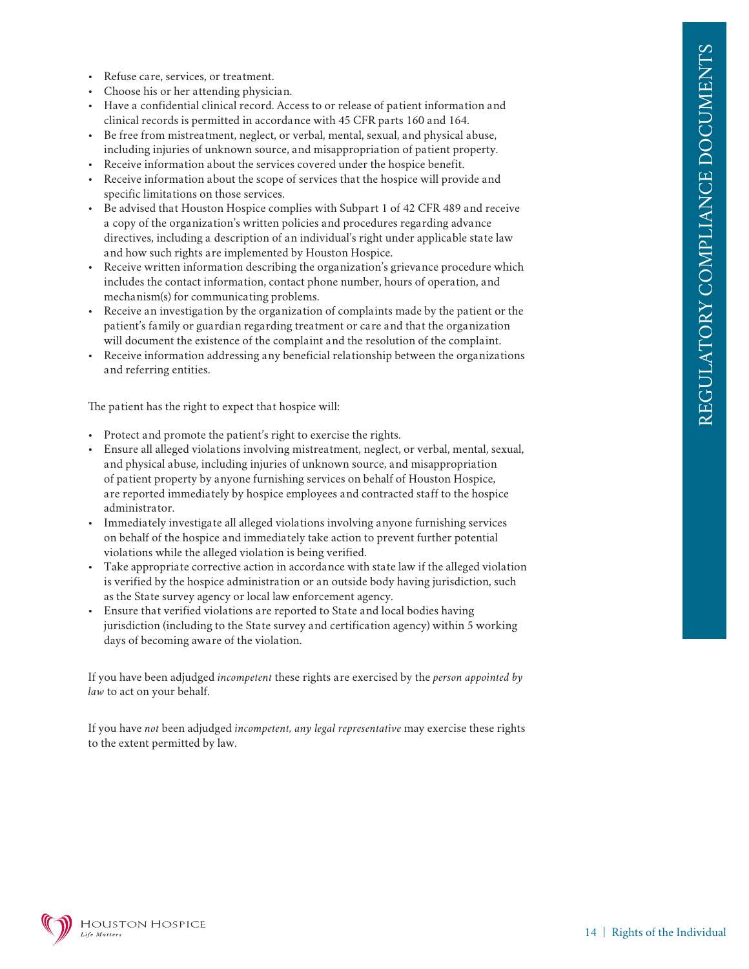- Refuse care, services, or treatment.
- Choose his or her attending physician.
- Have a confidential clinical record. Access to or release of patient information and clinical records is permitted in accordance with 45 CFR parts 160 and 164.
- Be free from mistreatment, neglect, or verbal, mental, sexual, and physical abuse, including injuries of unknown source, and misappropriation of patient property.
- Receive information about the services covered under the hospice benefit.
- Receive information about the scope of services that the hospice will provide and specific limitations on those services.
- Be advised that Houston Hospice complies with Subpart 1 of 42 CFR 489 and receive a copy of the organization's written policies and procedures regarding advance directives, including a description of an individual's right under applicable state law and how such rights are implemented by Houston Hospice.
- Receive written information describing the organization's grievance procedure which includes the contact information, contact phone number, hours of operation, and mechanism(s) for communicating problems.
- Receive an investigation by the organization of complaints made by the patient or the patient's family or guardian regarding treatment or care and that the organization will document the existence of the complaint and the resolution of the complaint.
- Receive information addressing any beneficial relationship between the organizations and referring entities.

The patient has the right to expect that hospice will:

- Protect and promote the patient's right to exercise the rights.
- Ensure all alleged violations involving mistreatment, neglect, or verbal, mental, sexual, and physical abuse, including injuries of unknown source, and misappropriation of patient property by anyone furnishing services on behalf of Houston Hospice, are reported immediately by hospice employees and contracted staff to the hospice administrator.
- Immediately investigate all alleged violations involving anyone furnishing services on behalf of the hospice and immediately take action to prevent further potential violations while the alleged violation is being verified.
- Take appropriate corrective action in accordance with state law if the alleged violation is verified by the hospice administration or an outside body having jurisdiction, such as the State survey agency or local law enforcement agency.
- Ensure that verified violations are reported to State and local bodies having jurisdiction (including to the State survey and certification agency) within 5 working days of becoming aware of the violation.

If you have been adjudged *incompetent* these rights are exercised by the *person appointed by law* to act on your behalf.

If you have *not* been adjudged *incompetent, any legal representative* may exercise these rights to the extent permitted by law.

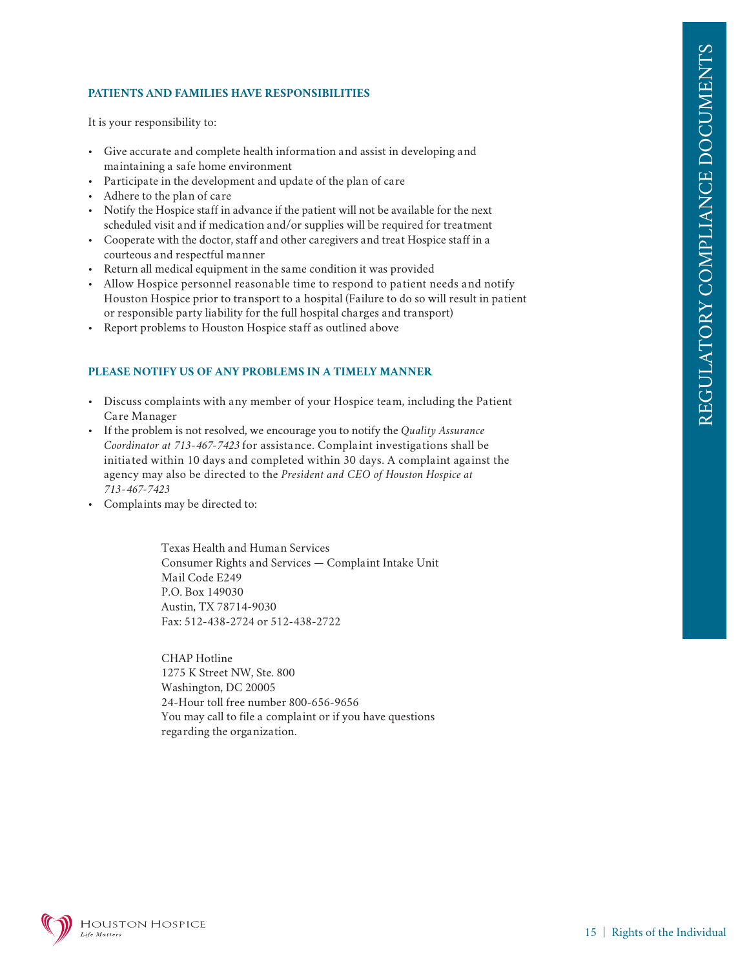#### **PATIENTS AND FAMILIES HAVE RESPONSIBILITIES**

It is your responsibility to:

- Give accurate and complete health information and assist in developing and maintaining a safe home environment
- Participate in the development and update of the plan of care
- Adhere to the plan of care
- Notify the Hospice staff in advance if the patient will not be available for the next scheduled visit and if medication and/or supplies will be required for treatment
- Cooperate with the doctor, staff and other caregivers and treat Hospice staff in a courteous and respectful manner
- Return all medical equipment in the same condition it was provided
- Allow Hospice personnel reasonable time to respond to patient needs and notify Houston Hospice prior to transport to a hospital (Failure to do so will result in patient or responsible party liability for the full hospital charges and transport)
- Report problems to Houston Hospice staff as outlined above

#### **PLEASE NOTIFY US OF ANY PROBLEMS IN A TIMELY MANNER**

- Discuss complaints with any member of your Hospice team, including the Patient Care Manager
- If the problem is not resolved, we encourage you to notify the *Quality Assurance Coordinator at 713-467-7423* for assistance. Complaint investigations shall be initiated within 10 days and completed within 30 days. A complaint against the agency may also be directed to the *President and CEO of Houston Hospice at 713-467-7423*
- Complaints may be directed to:

Texas Health and Human Services Consumer Rights and Services — Complaint Intake Unit Mail Code E249 P.O. Box 149030 Austin, TX 78714-9030 Fax: 512-438-2724 or 512-438-2722

CHAP Hotline 1275 K Street NW, Ste. 800 Washington, DC 20005 24-Hour toll free number 800-656-9656 You may call to file a complaint or if you have questions regarding the organization.

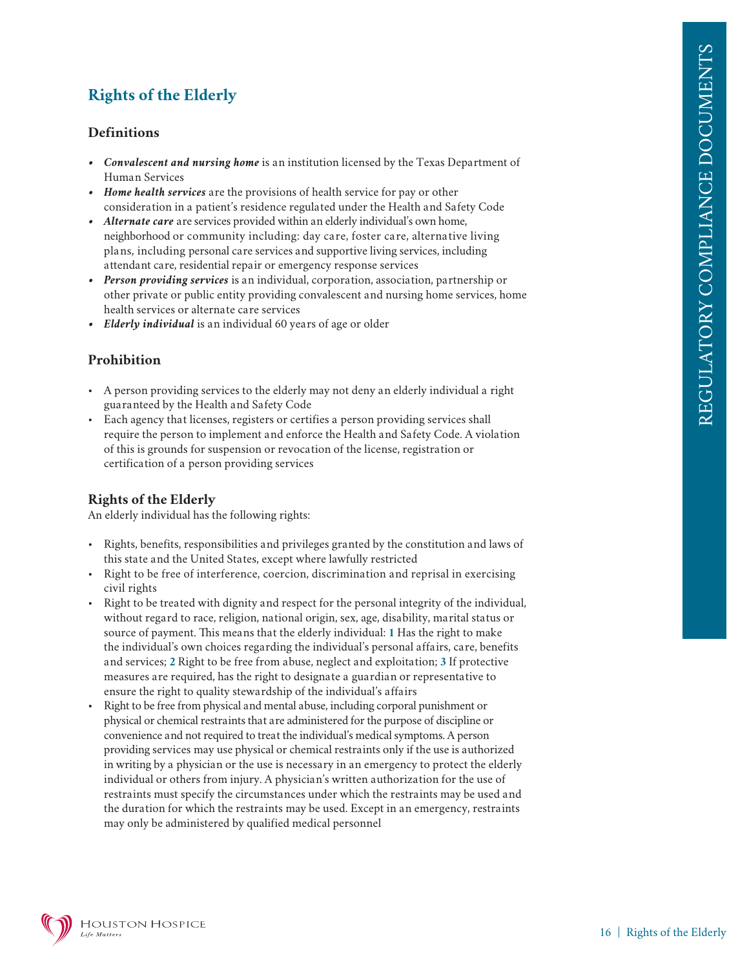# **Rights of the Elderly**

#### **Definitions**

- *• Convalescent and nursing home* is an institution licensed by the Texas Department of Human Services
- *• Home health services* are the provisions of health service for pay or other consideration in a patient's residence regulated under the Health and Safety Code
- *• Alternate care* are services provided within an elderly individual's own home, neighborhood or community including: day care, foster care, alternative living plans, including personal care services and supportive living services, including attendant care, residential repair or emergency response services
- *• Person providing services* is an individual, corporation, association, partnership or other private or public entity providing convalescent and nursing home services, home health services or alternate care services
- *• Elderly individual* is an individual 60 years of age or older

#### **Prohibition**

- A person providing services to the elderly may not deny an elderly individual a right guaranteed by the Health and Safety Code
- Each agency that licenses, registers or certifies a person providing services shall require the person to implement and enforce the Health and Safety Code. A violation of this is grounds for suspension or revocation of the license, registration or certification of a person providing services

#### **Rights of the Elderly**

An elderly individual has the following rights:

- Rights, benefits, responsibilities and privileges granted by the constitution and laws of this state and the United States, except where lawfully restricted
- Right to be free of interference, coercion, discrimination and reprisal in exercising civil rights
- Right to be treated with dignity and respect for the personal integrity of the individual, without regard to race, religion, national origin, sex, age, disability, marital status or source of payment. This means that the elderly individual: **1** Has the right to make the individual's own choices regarding the individual's personal affairs, care, benefits and services; **2** Right to be free from abuse, neglect and exploitation; **3** If protective measures are required, has the right to designate a guardian or representative to ensure the right to quality stewardship of the individual's affairs
- Right to be free from physical and mental abuse, including corporal punishment or physical or chemical restraints that are administered for the purpose of discipline or convenience and not required to treat the individual's medical symptoms. A person providing services may use physical or chemical restraints only if the use is authorized in writing by a physician or the use is necessary in an emergency to protect the elderly individual or others from injury. A physician's written authorization for the use of restraints must specify the circumstances under which the restraints may be used and the duration for which the restraints may be used. Except in an emergency, restraints may only be administered by qualified medical personnel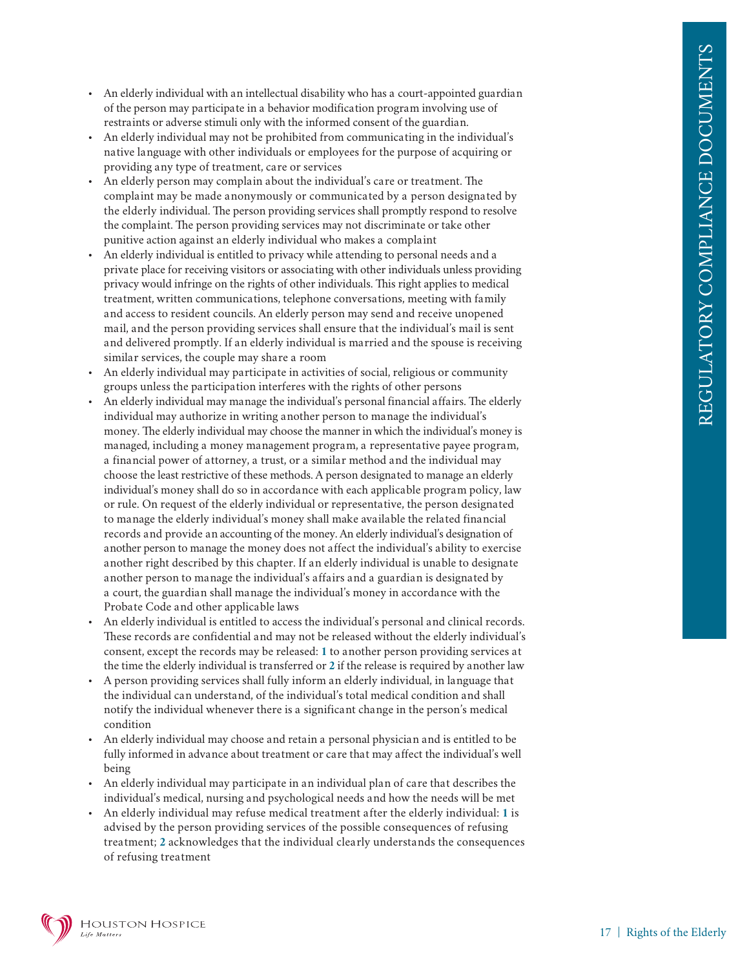- An elderly individual with an intellectual disability who has a court-appointed guardian of the person may participate in a behavior modification program involving use of restraints or adverse stimuli only with the informed consent of the guardian.
- An elderly individual may not be prohibited from communicating in the individual's native language with other individuals or employees for the purpose of acquiring or providing any type of treatment, care or services
- An elderly person may complain about the individual's care or treatment. The complaint may be made anonymously or communicated by a person designated by the elderly individual. The person providing services shall promptly respond to resolve the complaint. The person providing services may not discriminate or take other punitive action against an elderly individual who makes a complaint
- An elderly individual is entitled to privacy while attending to personal needs and a private place for receiving visitors or associating with other individuals unless providing privacy would infringe on the rights of other individuals. This right applies to medical treatment, written communications, telephone conversations, meeting with family and access to resident councils. An elderly person may send and receive unopened mail, and the person providing services shall ensure that the individual's mail is sent and delivered promptly. If an elderly individual is married and the spouse is receiving similar services, the couple may share a room
- An elderly individual may participate in activities of social, religious or community groups unless the participation interferes with the rights of other persons
- An elderly individual may manage the individual's personal financial affairs. The elderly individual may authorize in writing another person to manage the individual's money. The elderly individual may choose the manner in which the individual's money is managed, including a money management program, a representative payee program, a financial power of attorney, a trust, or a similar method and the individual may choose the least restrictive of these methods. A person designated to manage an elderly individual's money shall do so in accordance with each applicable program policy, law or rule. On request of the elderly individual or representative, the person designated to manage the elderly individual's money shall make available the related financial records and provide an accounting of the money. An elderly individual's designation of another person to manage the money does not affect the individual's ability to exercise another right described by this chapter. If an elderly individual is unable to designate another person to manage the individual's affairs and a guardian is designated by a court, the guardian shall manage the individual's money in accordance with the Probate Code and other applicable laws
- An elderly individual is entitled to access the individual's personal and clinical records. These records are confidential and may not be released without the elderly individual's consent, except the records may be released: **1** to another person providing services at the time the elderly individual is transferred or **2** if the release is required by another law
- A person providing services shall fully inform an elderly individual, in language that the individual can understand, of the individual's total medical condition and shall notify the individual whenever there is a significant change in the person's medical condition
- An elderly individual may choose and retain a personal physician and is entitled to be fully informed in advance about treatment or care that may affect the individual's well being
- An elderly individual may participate in an individual plan of care that describes the individual's medical, nursing and psychological needs and how the needs will be met
- An elderly individual may refuse medical treatment after the elderly individual: **1** is advised by the person providing services of the possible consequences of refusing treatment; **2** acknowledges that the individual clearly understands the consequences of refusing treatment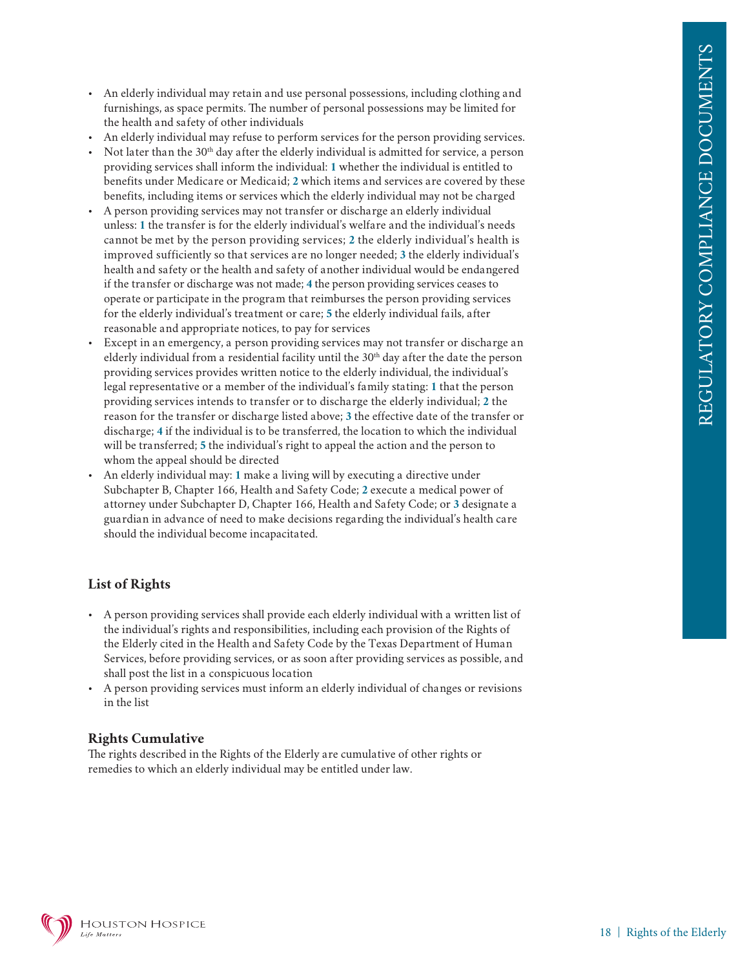- An elderly individual may retain and use personal possessions, including clothing and furnishings, as space permits. The number of personal possessions may be limited for the health and safety of other individuals
- An elderly individual may refuse to perform services for the person providing services.
- Not later than the  $30<sup>th</sup>$  day after the elderly individual is admitted for service, a person providing services shall inform the individual: **1** whether the individual is entitled to benefits under Medicare or Medicaid; **2** which items and services are covered by these benefits, including items or services which the elderly individual may not be charged
- A person providing services may not transfer or discharge an elderly individual unless: **1** the transfer is for the elderly individual's welfare and the individual's needs cannot be met by the person providing services; **2** the elderly individual's health is improved sufficiently so that services are no longer needed; **3** the elderly individual's health and safety or the health and safety of another individual would be endangered if the transfer or discharge was not made; **4** the person providing services ceases to operate or participate in the program that reimburses the person providing services for the elderly individual's treatment or care; **5** the elderly individual fails, after reasonable and appropriate notices, to pay for services
- Except in an emergency, a person providing services may not transfer or discharge an elderly individual from a residential facility until the 30<sup>th</sup> day after the date the person providing services provides written notice to the elderly individual, the individual's legal representative or a member of the individual's family stating: **1** that the person providing services intends to transfer or to discharge the elderly individual; **2** the reason for the transfer or discharge listed above; **3** the effective date of the transfer or discharge; **4** if the individual is to be transferred, the location to which the individual will be transferred; **5** the individual's right to appeal the action and the person to whom the appeal should be directed
- An elderly individual may: **1** make a living will by executing a directive under Subchapter B, Chapter 166, Health and Safety Code; **2** execute a medical power of attorney under Subchapter D, Chapter 166, Health and Safety Code; or **3** designate a guardian in advance of need to make decisions regarding the individual's health care should the individual become incapacitated.

#### **List of Rights**

- A person providing services shall provide each elderly individual with a written list of the individual's rights and responsibilities, including each provision of the Rights of the Elderly cited in the Health and Safety Code by the Texas Department of Human Services, before providing services, or as soon after providing services as possible, and shall post the list in a conspicuous location
- A person providing services must inform an elderly individual of changes or revisions in the list

#### **Rights Cumulative**

The rights described in the Rights of the Elderly are cumulative of other rights or remedies to which an elderly individual may be entitled under law.

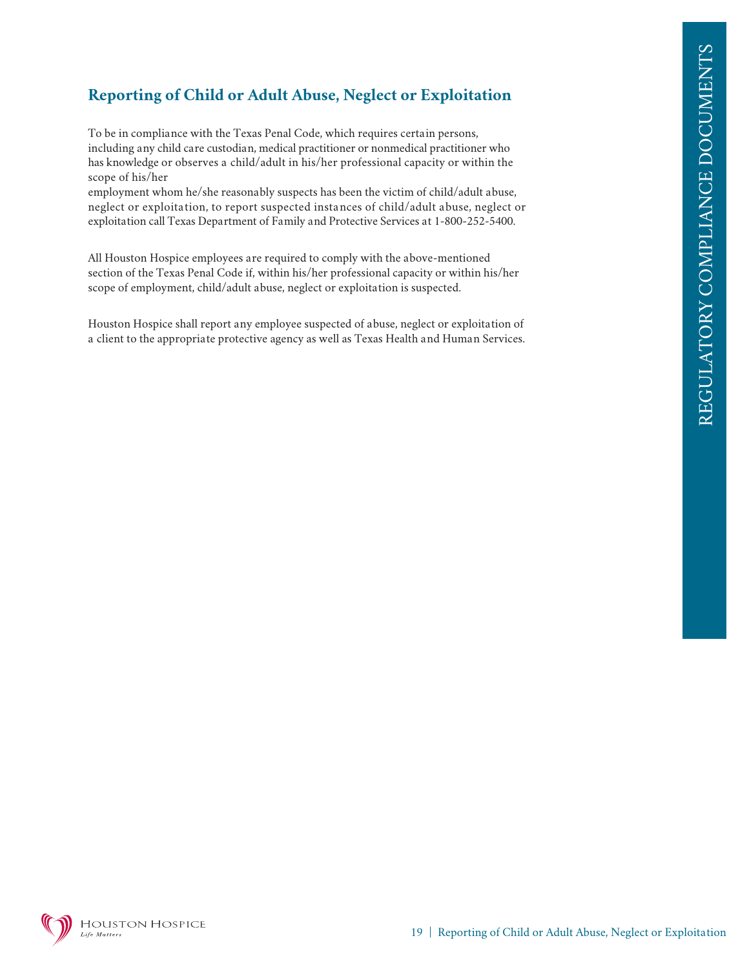# **Reporting of Child or Adult Abuse, Neglect or Exploitation**

To be in compliance with the Texas Penal Code, which requires certain persons, including any child care custodian, medical practitioner or nonmedical practitioner who has knowledge or observes a child/adult in his/her professional capacity or within the scope of his/her

employment whom he/she reasonably suspects has been the victim of child/adult abuse, neglect or exploitation, to report suspected instances of child/adult abuse, neglect or exploitation call Texas Department of Family and Protective Services at 1-800-252-5400.

All Houston Hospice employees are required to comply with the above-mentioned section of the Texas Penal Code if, within his/her professional capacity or within his/her scope of employment, child/adult abuse, neglect or exploitation is suspected.

Houston Hospice shall report any employee suspected of abuse, neglect or exploitation of a client to the appropriate protective agency as well as Texas Health and Human Services.

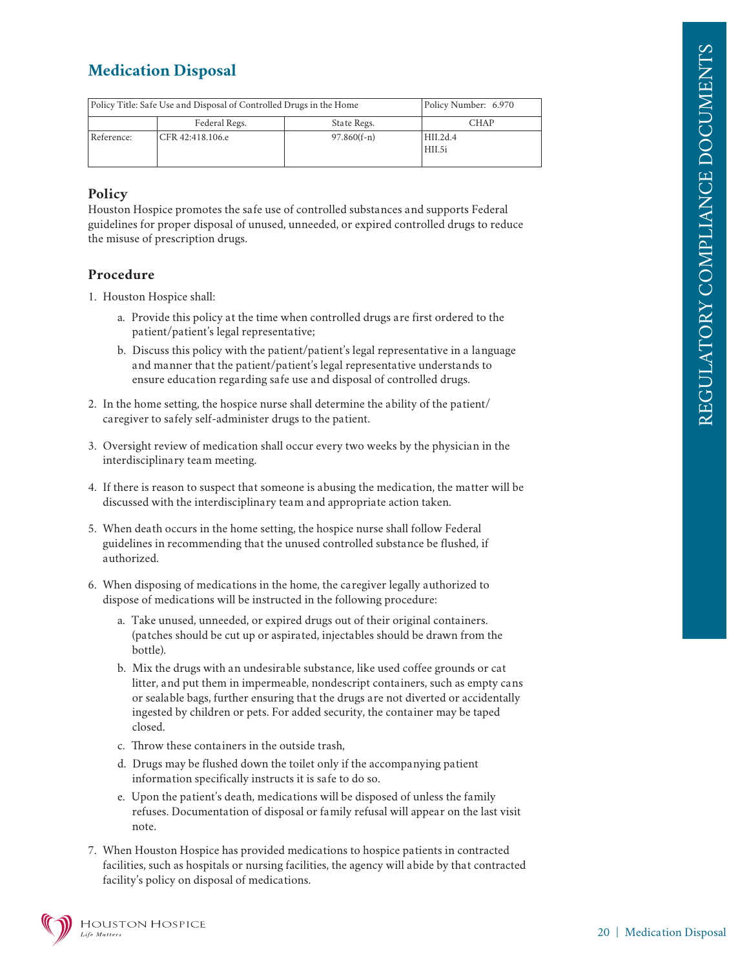## **Medication Disposal**

| Policy Title: Safe Use and Disposal of Controlled Drugs in the Home |                  | Policy Number: 6.970 |                   |
|---------------------------------------------------------------------|------------------|----------------------|-------------------|
|                                                                     | Federal Regs.    | State Regs.          | <b>CHAP</b>       |
| <sub>I</sub> Reference:                                             | CFR 42:418.106.e | $97.860(f-n)$        | HII.2d.4<br>HIL5i |

#### **Policy**

Houston Hospice promotes the safe use of controlled substances and supports Federal guidelines for proper disposal of unused, unneeded, or expired controlled drugs to reduce the misuse of prescription drugs.

#### **Procedure**

- 1. Houston Hospice shall:
	- a. Provide this policy at the time when controlled drugs are first ordered to the patient/patient's legal representative;
	- b. Discuss this policy with the patient/patient's legal representative in a language and manner that the patient/patient's legal representative understands to ensure education regarding safe use and disposal of controlled drugs.
- 2. In the home setting, the hospice nurse shall determine the ability of the patient/ caregiver to safely self-administer drugs to the patient.
- 3. Oversight review of medication shall occur every two weeks by the physician in the interdisciplinary team meeting.
- 4. If there is reason to suspect that someone is abusing the medication, the matter will be discussed with the interdisciplinary team and appropriate action taken.
- 5. When death occurs in the home setting, the hospice nurse shall follow Federal guidelines in recommending that the unused controlled substance be flushed, if authorized.
- 6. When disposing of medications in the home, the caregiver legally authorized to dispose of medications will be instructed in the following procedure:
	- a. Take unused, unneeded, or expired drugs out of their original containers. (patches should be cut up or aspirated, injectables should be drawn from the bottle).
	- b. Mix the drugs with an undesirable substance, like used coffee grounds or cat litter, and put them in impermeable, nondescript containers, such as empty cans or sealable bags, further ensuring that the drugs are not diverted or accidentally ingested by children or pets. For added security, the container may be taped closed.
	- c. Throw these containers in the outside trash,
	- d. Drugs may be flushed down the toilet only if the accompanying patient information specifically instructs it is safe to do so.
	- e. Upon the patient's death, medications will be disposed of unless the family refuses. Documentation of disposal or family refusal will appear on the last visit note.
- 7. When Houston Hospice has provided medications to hospice patients in contracted facilities, such as hospitals or nursing facilities, the agency will abide by that contracted facility's policy on disposal of medications.

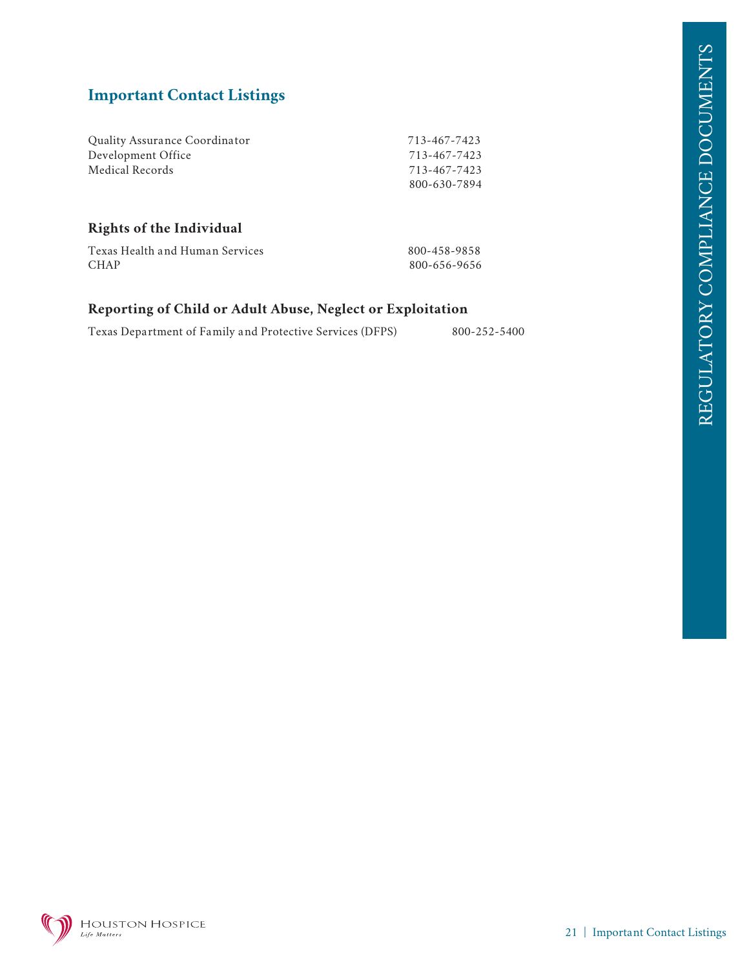## **Important Contact Listings**

| Quality Assurance Coordinator | 713-467-7423 |
|-------------------------------|--------------|
| Development Office            | 713-467-7423 |
| Medical Records               | 713-467-7423 |
|                               | 800-630-7894 |
|                               |              |
|                               |              |

## **Rights of the Individual**

Texas Health and Human Services 800-458-9858 CHAP 800-656-9656

## **Reporting of Child or Adult Abuse, Neglect or Exploitation**

|  |  | Texas Department of Family and Protective Services (DFPS) | 800-252-5400 |
|--|--|-----------------------------------------------------------|--------------|
|--|--|-----------------------------------------------------------|--------------|

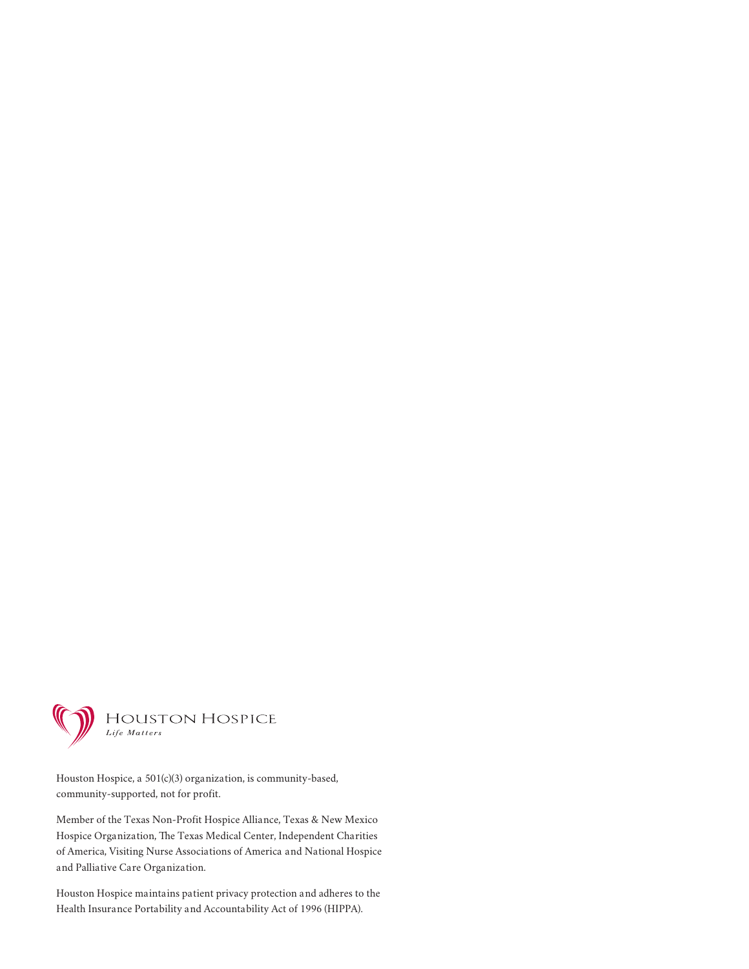

Houston Hospice, a 501(c)(3) organization, is community-based, community-supported, not for profit.

Member of the Texas Non-Profit Hospice Alliance, Texas & New Mexico Hospice Organization, The Texas Medical Center, Independent Charities of America, Visiting Nurse Associations of America and National Hospice and Palliative Care Organization.

Houston Hospice maintains patient privacy protection and adheres to the Health Insurance Portability and Accountability Act of 1996 (HIPPA).